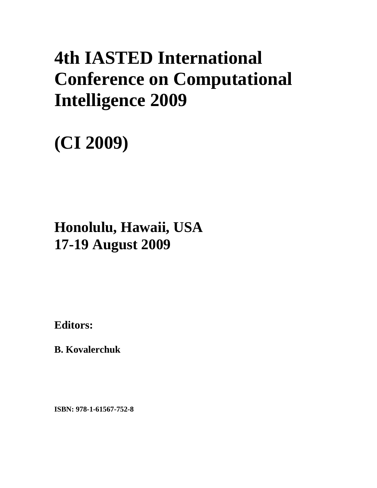## **4th IASTED International Conference on Computational Intelligence 2009**

# **(CI 2009)**

### **Honolulu, Hawaii, USA 17-19 August 2009**

**Editors:** 

**B. Kovalerchuk** 

**ISBN: 978-1-61567-752-8**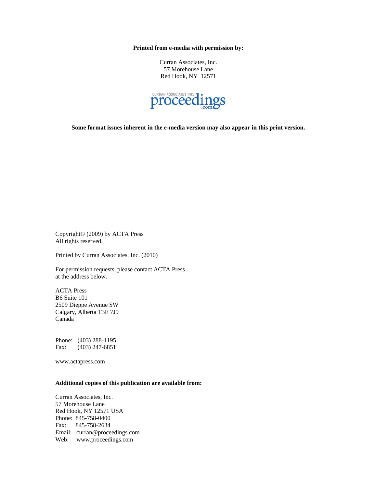**Printed from e-media with permission by:** 

Curran Associates, Inc. 57 Morehouse Lane Red Hook, NY 12571



**Some format issues inherent in the e-media version may also appear in this print version.** 

Copyright© (2009) by ACTA Press All rights reserved.

Printed by Curran Associates, Inc. (2010)

For permission requests, please contact ACTA Press at the address below.

ACTA Press B6 Suite 101 2509 Dieppe Avenue SW Calgary, Alberta T3E 7J9 Canada

Phone: (403) 288-1195 Fax: (403) 247-6851

www.actapress.com

#### **Additional copies of this publication are available from:**

Curran Associates, Inc. 57 Morehouse Lane Red Hook, NY 12571 USA Phone: 845-758-0400 Fax: 845-758-2634 Email: curran@proceedings.com Web: www.proceedings.com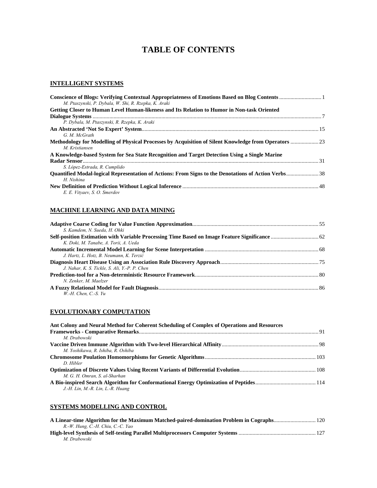### **TABLE OF CONTENTS**

#### **INTELLIGENT SYSTEMS**

| M. Ptaszynski, P. Dybala, W. Shi, R. Rzepka, K. Araki                                                                   |  |
|-------------------------------------------------------------------------------------------------------------------------|--|
| Getting Closer to Human Level Human-likeness and Its Relation to Humor in Non-task Oriented                             |  |
|                                                                                                                         |  |
| P. Dybala, M. Ptaszynski, R. Rzepka, K. Araki                                                                           |  |
|                                                                                                                         |  |
| G. M. McGrath                                                                                                           |  |
| Methodology for Modelling of Physical Processes by Acquisition of Silent Knowledge from Operators  23<br>M. Kristiansen |  |
| A Knowledge-based System for Sea State Recognition and Target Detection Using a Single Marine                           |  |
|                                                                                                                         |  |
| S. López-Estrada, R. Cumplido                                                                                           |  |
| Ouantified Modal-logical Representation of Actions: From Signs to the Denotations of Action Verbs38                     |  |
| H. Nishina                                                                                                              |  |
| E. E. Vitvaev, S. O. Smerdov                                                                                            |  |

#### **MACHINE LEARNING AND DATA MINING**

| S. Kamdem, N. Sueda, H. Ohki                  |  |
|-----------------------------------------------|--|
|                                               |  |
| K. Doki. M. Tanabe. A. Torii. A. Ueda         |  |
|                                               |  |
| J. Hartz, L. Hotz, B. Neumann, K. Terzić      |  |
|                                               |  |
| J. Nahar, K. S. Tickle, S. Ali, Y.-P. P. Chen |  |
|                                               |  |
| N. Zenker, M. Maelzer                         |  |
|                                               |  |
| $W.H.$ Chen. C.-S. Yu                         |  |

#### **EVOLUTIONARY COMPUTATION**

| Ant Colony and Neural Method for Coherent Scheduling of Complex of Operations and Resources |  |
|---------------------------------------------------------------------------------------------|--|
|                                                                                             |  |
| M. Drabowski                                                                                |  |
|                                                                                             |  |
| M. Yoshikawa, R. Ishiba, R. Oshiba                                                          |  |
|                                                                                             |  |
| D. Hibler                                                                                   |  |
|                                                                                             |  |
| M. G. H. Omran. S. al-Sharhan                                                               |  |
|                                                                                             |  |
| J.-H. Lin, M.-R. Lin, L.-R. Huang                                                           |  |
|                                                                                             |  |

#### **SYSTEMS MODELLING AND CONTROL**

| R.-W. Hung, C.-H. Chiu, C.-C. Yao |  |
|-----------------------------------|--|
|                                   |  |
| M. Drabowski                      |  |